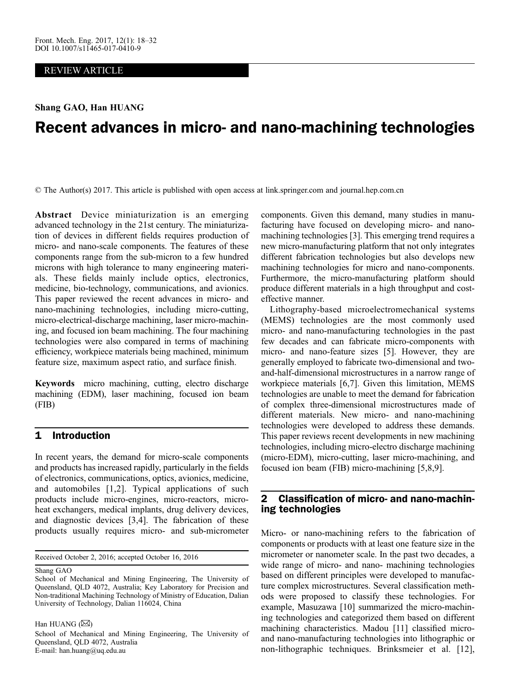## REVIEW ARTICLE

Shang GAO, Han HUANG

# Recent advances in micro- and nano-machining technologies

© The Author(s) 2017. This article is published with open access at link.springer.com and journal.hep.com.cn 2017

Abstract Device miniaturization is an emerging advanced technology in the 21st century. The miniaturization of devices in different fields requires production of micro- and nano-scale components. The features of these components range from the sub-micron to a few hundred microns with high tolerance to many engineering materials. These fields mainly include optics, electronics, medicine, bio-technology, communications, and avionics. This paper reviewed the recent advances in micro- and nano-machining technologies, including micro-cutting, micro-electrical-discharge machining, laser micro-machining, and focused ion beam machining. The four machining technologies were also compared in terms of machining efficiency, workpiece materials being machined, minimum feature size, maximum aspect ratio, and surface finish.

Keywords micro machining, cutting, electro discharge machining (EDM), laser machining, focused ion beam (FIB)

# 1 Introduction

In recent years, the demand for micro-scale components and products has increased rapidly, particularly in the fields of electronics, communications, optics, avionics, medicine, and automobiles [[1](#page-11-0),[2](#page-11-0)]. Typical applications of such products include micro-engines, micro-reactors, microheat exchangers, medical implants, drug delivery devices, and diagnostic devices [\[3](#page-11-0),[4](#page-11-0)]. The fabrication of these products usually requires micro- and sub-micrometer

Received October 2, 2016; accepted October 16, 2016

Shang GAO

Han HUANG  $(\boxtimes)$ 

components. Given this demand, many studies in manufacturing have focused on developing micro- and nanomachining technologies [\[3](#page-11-0)]. This emerging trend requires a new micro-manufacturing platform that not only integrates different fabrication technologies but also develops new machining technologies for micro and nano-components. Furthermore, the micro-manufacturing platform should produce different materials in a high throughput and costeffective manner.

Lithography-based microelectromechanical systems (MEMS) technologies are the most commonly used micro- and nano-manufacturing technologies in the past few decades and can fabricate micro-components with micro- and nano-feature sizes [[5\]](#page-11-0). However, they are generally employed to fabricate two-dimensional and twoand-half-dimensional microstructures in a narrow range of workpiece materials [[6](#page-11-0),[7\]](#page-11-0). Given this limitation, MEMS technologies are unable to meet the demand for fabrication of complex three-dimensional microstructures made of different materials. New micro- and nano-machining technologies were developed to address these demands. This paper reviews recent developments in new machining technologies, including micro-electro discharge machining (micro-EDM), micro-cutting, laser micro-machining, and focused ion beam (FIB) micro-machining [\[5,8](#page-11-0),[9](#page-11-0)].

# 2 Classification of micro- and nano-machining technologies

Micro- or nano-machining refers to the fabrication of components or products with at least one feature size in the micrometer or nanometer scale. In the past two decades, a wide range of micro- and nano- machining technologies based on different principles were developed to manufacture complex microstructures. Several classification methods were proposed to classify these technologies. For example, Masuzawa [\[10\]](#page-11-0) summarized the micro-machining technologies and categorized them based on different machining characteristics. Madou [\[11](#page-11-0)] classified microand nano-manufacturing technologies into lithographic or non-lithographic techniques. Brinksmeier et al. [[12\]](#page-11-0),

School of Mechanical and Mining Engineering, The University of Queensland, QLD 4072, Australia; Key Laboratory for Precision and Non-traditional Machining Technology of Ministry of Education, Dalian University of Technology, Dalian 116024, China

School of Mechanical and Mining Engineering, The University of Queensland, QLD 4072, Australia E-mail: han.huang@uq.edu.au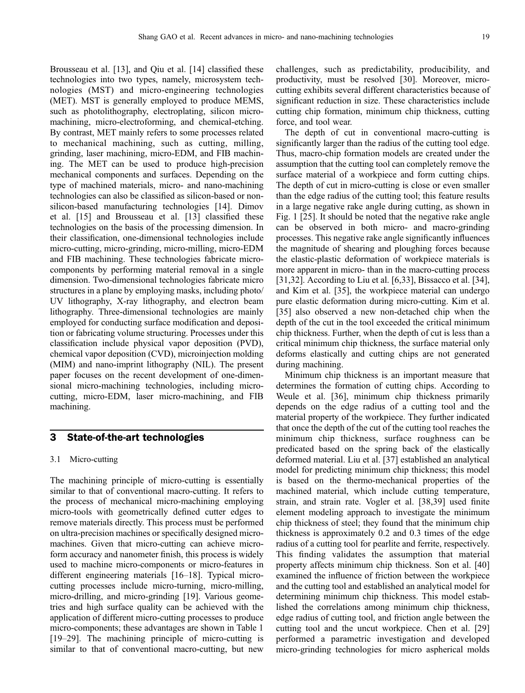Brousseau et al. [[13](#page-11-0)], and Qiu et al. [\[14\]](#page-11-0) classified these technologies into two types, namely, microsystem technologies (MST) and micro-engineering technologies (MET). MST is generally employed to produce MEMS, such as photolithography, electroplating, silicon micromachining, micro-electroforming, and chemical-etching. By contrast, MET mainly refers to some processes related to mechanical machining, such as cutting, milling, grinding, laser machining, micro-EDM, and FIB machining. The MET can be used to produce high-precision mechanical components and surfaces. Depending on the type of machined materials, micro- and nano-machining technologies can also be classified as silicon-based or nonsilicon-based manufacturing technologies [\[14\]](#page-11-0). Dimov et al. [[15](#page-11-0)] and Brousseau et al. [\[13\]](#page-11-0) classified these technologies on the basis of the processing dimension. In their classification, one-dimensional technologies include micro-cutting, micro-grinding, micro-milling, micro-EDM and FIB machining. These technologies fabricate microcomponents by performing material removal in a single dimension. Two-dimensional technologies fabricate micro structures in a plane by employing masks, including photo/ UV lithography, X-ray lithography, and electron beam lithography. Three-dimensional technologies are mainly employed for conducting surface modification and deposition or fabricating volume structuring. Processes under this classification include physical vapor deposition (PVD), chemical vapor deposition (CVD), microinjection molding (MIM) and nano-imprint lithography (NIL). The present paper focuses on the recent development of one-dimensional micro-machining technologies, including microcutting, micro-EDM, laser micro-machining, and FIB machining.

## 3 State-of-the-art technologies

#### 3.1 Micro-cutting

The machining principle of micro-cutting is essentially similar to that of conventional macro-cutting. It refers to the process of mechanical micro-machining employing micro-tools with geometrically defined cutter edges to remove materials directly. This process must be performed on ultra-precision machines or specifically designed micromachines. Given that micro-cutting can achieve microform accuracy and nanometer finish, this process is widely used to machine micro-components or micro-features in different engineering materials [[16](#page-11-0)–[18](#page-11-0)]. Typical microcutting processes include micro-turning, micro-milling, micro-drilling, and micro-grinding [\[19\]](#page-11-0). Various geometries and high surface quality can be achieved with the application of different micro-cutting processes to produce micro-components; these advantages are shown in Table 1 [\[19](#page-11-0)–[29](#page-11-0)]. The machining principle of micro-cutting is similar to that of conventional macro-cutting, but new

challenges, such as predictability, producibility, and productivity, must be resolved [\[30\]](#page-11-0). Moreover, microcutting exhibits several different characteristics because of significant reduction in size. These characteristics include cutting chip formation, minimum chip thickness, cutting force, and tool wear.

The depth of cut in conventional macro-cutting is significantly larger than the radius of the cutting tool edge. Thus, macro-chip formation models are created under the assumption that the cutting tool can completely remove the surface material of a workpiece and form cutting chips. The depth of cut in micro-cutting is close or even smaller than the edge radius of the cutting tool; this feature results in a large negative rake angle during cutting, as shown in Fig. 1 [[25](#page-11-0)]. It should be noted that the negative rake angle can be observed in both micro- and macro-grinding processes. This negative rake angle significantly influences the magnitude of shearing and ploughing forces because the elastic-plastic deformation of workpiece materials is more apparent in micro- than in the macro-cutting process [[31](#page-11-0),[32](#page-11-0)]. According to Liu et al. [[6](#page-11-0)[,33\]](#page-12-0), Bissacco et al. [\[34\]](#page-12-0), and Kim et al. [[35](#page-12-0)], the workpiece material can undergo pure elastic deformation during micro-cutting. Kim et al. [[35](#page-12-0)] also observed a new non-detached chip when the depth of the cut in the tool exceeded the critical minimum chip thickness. Further, when the depth of cut is less than a critical minimum chip thickness, the surface material only deforms elastically and cutting chips are not generated during machining.

Minimum chip thickness is an important measure that determines the formation of cutting chips. According to Weule et al. [\[36\]](#page-12-0), minimum chip thickness primarily depends on the edge radius of a cutting tool and the material property of the workpiece. They further indicated that once the depth of the cut of the cutting tool reaches the minimum chip thickness, surface roughness can be predicated based on the spring back of the elastically deformed material. Liu et al. [[37](#page-12-0)] established an analytical model for predicting minimum chip thickness; this model is based on the thermo-mechanical properties of the machined material, which include cutting temperature, strain, and strain rate. Vogler et al. [\[38,39\]](#page-12-0) used finite element modeling approach to investigate the minimum chip thickness of steel; they found that the minimum chip thickness is approximately 0.2 and 0.3 times of the edge radius of a cutting tool for pearlite and ferrite, respectively. This finding validates the assumption that material property affects minimum chip thickness. Son et al. [[40](#page-12-0)] examined the influence of friction between the workpiece and the cutting tool and established an analytical model for determining minimum chip thickness. This model established the correlations among minimum chip thickness, edge radius of cutting tool, and friction angle between the cutting tool and the uncut workpiece. Chen et al. [[29](#page-11-0)] performed a parametric investigation and developed micro-grinding technologies for micro aspherical molds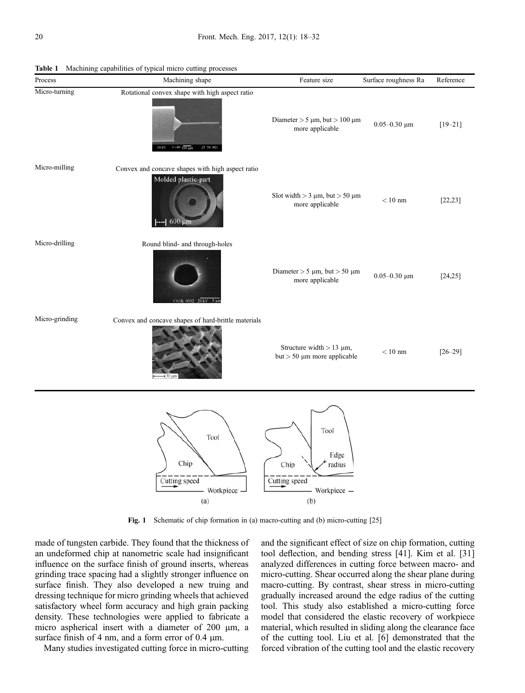| Process        | Machining shape                                                                                                | Feature size                                                            | Surface roughness Ra | Reference   |
|----------------|----------------------------------------------------------------------------------------------------------------|-------------------------------------------------------------------------|----------------------|-------------|
| Micro-turning  | Rotational convex shape with high aspect ratio<br>25 56 SEI<br>$10 \text{ kV}$ × 140 $100 \text{ }\mu\text{m}$ | Diameter $> 5 \mu m$ , but $> 100 \mu m$<br>more applicable             | 0.05-0.30 $\mu$ m    | $[19 - 21]$ |
| Micro-milling  | Convex and concave shapes with high aspect ratio<br>Molded plastic-part<br>$600 \mu m$                         | Slot width $>$ 3 $\mu$ m, but $>$ 50 $\mu$ m<br>more applicable         | $<10~\mathrm{nm}$    | [22, 23]    |
| Micro-drilling | Round blind- and through-holes<br>$×6.0k$ 0002 20 kV 5 um                                                      | Diameter $> 5 \mu m$ , but $> 50 \mu m$<br>more applicable              | 0.05-0.30 $\mu$ m    | [24, 25]    |
| Micro-grinding | Convex and concave shapes of hard-brittle materials                                                            | Structure width $> 13 \mu m$ ,<br>$but > 50 \mu m$ more applicable      | $<10~\mathrm{nm}$    | $[26 - 29]$ |
|                | Tool<br>Chip<br>Cutting speed<br>- Workpiece -<br>(a)                                                          | Tool<br>Edge<br>Chip<br>radius<br>Cutting speed<br>- Workpiece -<br>(b) |                      |             |

Table 1 Machining capabilities of typical micro cutting processes

Fig. 1 Schematic of chip formation in (a) macro-cutting and (b) micro-cutting [[25](#page-11-0)]

made of tungsten carbide. They found that the thickness of an undeformed chip at nanometric scale had insignificant influence on the surface finish of ground inserts, whereas grinding trace spacing had a slightly stronger influence on surface finish. They also developed a new truing and dressing technique for micro grinding wheels that achieved satisfactory wheel form accuracy and high grain packing density. These technologies were applied to fabricate a micro aspherical insert with a diameter of 200 µm, a surface finish of 4 nm, and a form error of  $0.4 \mu m$ .

Many studies investigated cutting force in micro-cutting

and the significant effect of size on chip formation, cutting tool deflection, and bending stress [[41](#page-12-0)]. Kim et al. [[31](#page-11-0)] analyzed differences in cutting force between macro- and micro-cutting. Shear occurred along the shear plane during macro-cutting. By contrast, shear stress in micro-cutting gradually increased around the edge radius of the cutting tool. This study also established a micro-cutting force model that considered the elastic recovery of workpiece material, which resulted in sliding along the clearance face of the cutting tool. Liu et al. [\[6\]](#page-11-0) demonstrated that the forced vibration of the cutting tool and the elastic recovery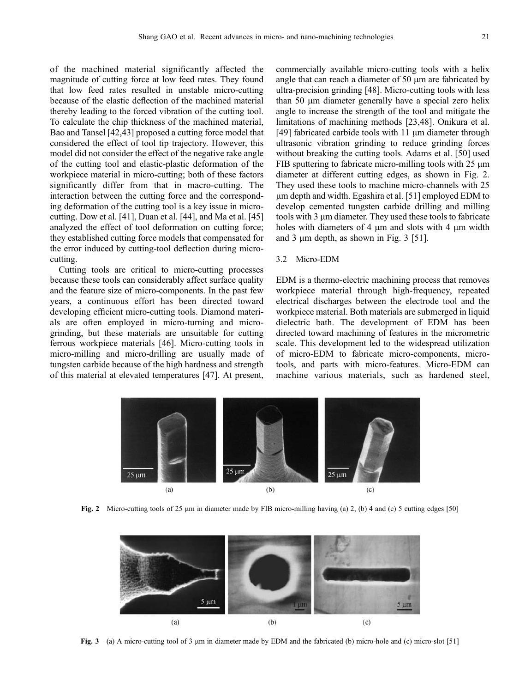of the machined material significantly affected the magnitude of cutting force at low feed rates. They found that low feed rates resulted in unstable micro-cutting because of the elastic deflection of the machined material thereby leading to the forced vibration of the cutting tool. To calculate the chip thickness of the machined material, Bao and Tansel [\[42,43\]](#page-12-0) proposed a cutting force model that considered the effect of tool tip trajectory. However, this model did not consider the effect of the negative rake angle of the cutting tool and elastic-plastic deformation of the workpiece material in micro-cutting; both of these factors significantly differ from that in macro-cutting. The interaction between the cutting force and the corresponding deformation of the cutting tool is a key issue in microcutting. Dow et al. [\[41\]](#page-12-0), Duan et al. [\[44\]](#page-12-0), and Ma et al. [\[45\]](#page-12-0) analyzed the effect of tool deformation on cutting force; they established cutting force models that compensated for the error induced by cutting-tool deflection during microcutting.

Cutting tools are critical to micro-cutting processes because these tools can considerably affect surface quality and the feature size of micro-components. In the past few years, a continuous effort has been directed toward developing efficient micro-cutting tools. Diamond materials are often employed in micro-turning and microgrinding, but these materials are unsuitable for cutting ferrous workpiece materials [[46](#page-12-0)]. Micro-cutting tools in micro-milling and micro-drilling are usually made of tungsten carbide because of the high hardness and strength of this material at elevated temperatures [[47](#page-12-0)]. At present,

commercially available micro-cutting tools with a helix angle that can reach a diameter of  $50 \mu m$  are fabricated by ultra-precision grinding [\[48\]](#page-12-0). Micro-cutting tools with less than 50 mm diameter generally have a special zero helix angle to increase the strength of the tool and mitigate the limitations of machining methods [\[23](#page-11-0)[,48\]](#page-12-0). Onikura et al. [[49](#page-12-0)] fabricated carbide tools with 11 µm diameter through ultrasonic vibration grinding to reduce grinding forces without breaking the cutting tools. Adams et al. [[50](#page-12-0)] used FIB sputtering to fabricate micro-milling tools with  $25 \mu m$ diameter at different cutting edges, as shown in Fig. 2. They used these tools to machine micro-channels with 25 mm depth and width. Egashira et al. [\[51\]](#page-12-0) employed EDM to develop cemented tungsten carbide drilling and milling tools with 3 µm diameter. They used these tools to fabricate holes with diameters of 4  $\mu$ m and slots with 4  $\mu$ m width and 3  $\mu$ m depth, as shown in Fig. 3 [\[51\]](#page-12-0).

#### 3.2 Micro-EDM

EDM is a thermo-electric machining process that removes workpiece material through high-frequency, repeated electrical discharges between the electrode tool and the workpiece material. Both materials are submerged in liquid dielectric bath. The development of EDM has been directed toward machining of features in the micrometric scale. This development led to the widespread utilization of micro-EDM to fabricate micro-components, microtools, and parts with micro-features. Micro-EDM can machine various materials, such as hardened steel,



Fig. 2 Micro-cutting tools of 25 µm in diameter made by FIB micro-milling having (a) 2, (b) 4 and (c) 5 cutting edges [\[50\]](#page-12-0)



Fig. 3 (a) A micro-cutting tool of 3 µm in diameter made by EDM and the fabricated (b) micro-hole and (c) micro-slot [[51](#page-12-0)]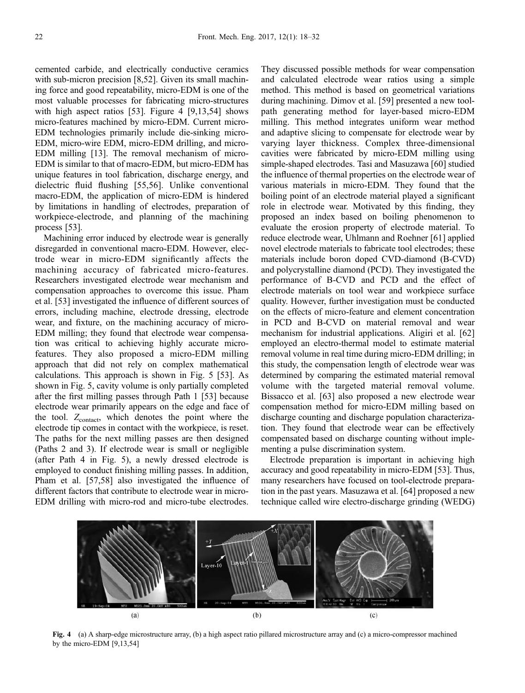cemented carbide, and electrically conductive ceramics with sub-micron precision [\[8](#page-11-0),[52](#page-12-0)]. Given its small machining force and good repeatability, micro-EDM is one of the most valuable processes for fabricating micro-structures with high aspect ratios [[53](#page-12-0)]. Figure 4 [\[9,13,](#page-11-0)[54\]](#page-12-0) shows micro-features machined by micro-EDM. Current micro-EDM technologies primarily include die-sinking micro-EDM, micro-wire EDM, micro-EDM drilling, and micro-EDM milling [\[13\]](#page-11-0). The removal mechanism of micro-EDM is similar to that of macro-EDM, but micro-EDM has unique features in tool fabrication, discharge energy, and dielectric fluid flushing [[55](#page-12-0),[56](#page-12-0)]. Unlike conventional macro-EDM, the application of micro-EDM is hindered by limitations in handling of electrodes, preparation of workpiece-electrode, and planning of the machining process [\[53\]](#page-12-0).

Machining error induced by electrode wear is generally disregarded in conventional macro-EDM. However, electrode wear in micro-EDM significantly affects the machining accuracy of fabricated micro-features. Researchers investigated electrode wear mechanism and compensation approaches to overcome this issue. Pham et al. [[53](#page-12-0)] investigated the influence of different sources of errors, including machine, electrode dressing, electrode wear, and fixture, on the machining accuracy of micro-EDM milling; they found that electrode wear compensation was critical to achieving highly accurate microfeatures. They also proposed a micro-EDM milling approach that did not rely on complex mathematical calculations. This approach is shown in Fig. 5 [[53](#page-12-0)]. As shown in Fig. 5, cavity volume is only partially completed after the first milling passes through Path 1 [[53](#page-12-0)] because electrode wear primarily appears on the edge and face of the tool.  $Z_{\text{contact}}$ , which denotes the point where the electrode tip comes in contact with the workpiece, is reset. The paths for the next milling passes are then designed (Paths 2 and 3). If electrode wear is small or negligible (after Path 4 in Fig. 5), a newly dressed electrode is employed to conduct finishing milling passes. In addition, Pham et al. [\[57,58\]](#page-12-0) also investigated the influence of different factors that contribute to electrode wear in micro-EDM drilling with micro-rod and micro-tube electrodes.

They discussed possible methods for wear compensation and calculated electrode wear ratios using a simple method. This method is based on geometrical variations during machining. Dimov et al. [[59](#page-12-0)] presented a new toolpath generating method for layer-based micro-EDM milling. This method integrates uniform wear method and adaptive slicing to compensate for electrode wear by varying layer thickness. Complex three-dimensional cavities were fabricated by micro-EDM milling using simple-shaped electrodes. Tasi and Masuzawa [\[60\]](#page-12-0) studied the influence of thermal properties on the electrode wear of various materials in micro-EDM. They found that the boiling point of an electrode material played a significant role in electrode wear. Motivated by this finding, they proposed an index based on boiling phenomenon to evaluate the erosion property of electrode material. To reduce electrode wear, Uhlmann and Roehner [[61](#page-12-0)] applied novel electrode materials to fabricate tool electrodes; these materials include boron doped CVD-diamond (B-CVD) and polycrystalline diamond (PCD). They investigated the performance of B-CVD and PCD and the effect of electrode materials on tool wear and workpiece surface quality. However, further investigation must be conducted on the effects of micro-feature and element concentration in PCD and B-CVD on material removal and wear mechanism for industrial applications. Aligiri et al. [[62](#page-12-0)] employed an electro-thermal model to estimate material removal volume in real time during micro-EDM drilling; in this study, the compensation length of electrode wear was determined by comparing the estimated material removal volume with the targeted material removal volume. Bissacco et al. [[63](#page-12-0)] also proposed a new electrode wear compensation method for micro-EDM milling based on discharge counting and discharge population characterization. They found that electrode wear can be effectively compensated based on discharge counting without implementing a pulse discrimination system.

Electrode preparation is important in achieving high accuracy and good repeatability in micro-EDM [\[53\]](#page-12-0). Thus, many researchers have focused on tool-electrode preparation in the past years. Masuzawa et al. [[64](#page-12-0)] proposed a new technique called wire electro-discharge grinding (WEDG)



Fig. 4 (a) A sharp-edge microstructure array, (b) a high aspect ratio pillared microstructure array and (c) a micro-compressor machined by the micro-EDM [[9,13](#page-11-0),[54](#page-12-0)]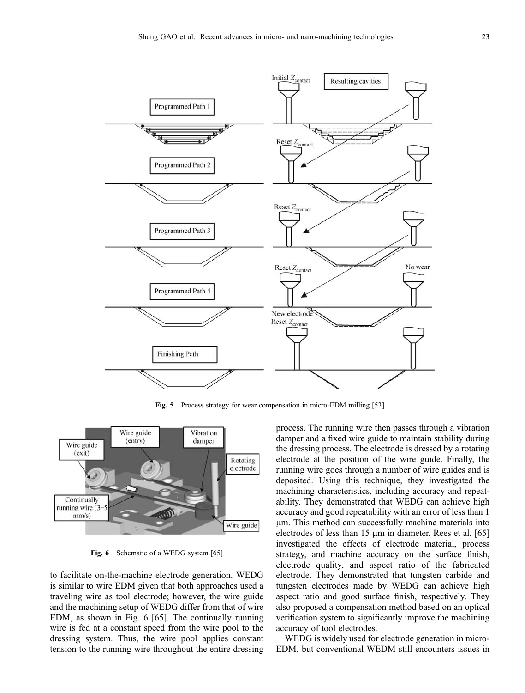

Fig. 5 Process strategy for wear compensation in micro-EDM milling [[53](#page-12-0)]



Fig. 6 Schematic of a WEDG system [[65](#page-12-0)]

to facilitate on-the-machine electrode generation. WEDG is similar to wire EDM given that both approaches used a traveling wire as tool electrode; however, the wire guide and the machining setup of WEDG differ from that of wire EDM, as shown in Fig. 6 [\[65\]](#page-12-0). The continually running wire is fed at a constant speed from the wire pool to the dressing system. Thus, the wire pool applies constant tension to the running wire throughout the entire dressing process. The running wire then passes through a vibration damper and a fixed wire guide to maintain stability during the dressing process. The electrode is dressed by a rotating electrode at the position of the wire guide. Finally, the running wire goes through a number of wire guides and is deposited. Using this technique, they investigated the machining characteristics, including accuracy and repeatability. They demonstrated that WEDG can achieve high accuracy and good repeatability with an error of less than 1 mm. This method can successfully machine materials into electrodes of less than 15  $\mu$ m in diameter. Rees et al. [[65](#page-12-0)] investigated the effects of electrode material, process strategy, and machine accuracy on the surface finish, electrode quality, and aspect ratio of the fabricated electrode. They demonstrated that tungsten carbide and tungsten electrodes made by WEDG can achieve high aspect ratio and good surface finish, respectively. They also proposed a compensation method based on an optical verification system to significantly improve the machining accuracy of tool electrodes.

WEDG is widely used for electrode generation in micro-EDM, but conventional WEDM still encounters issues in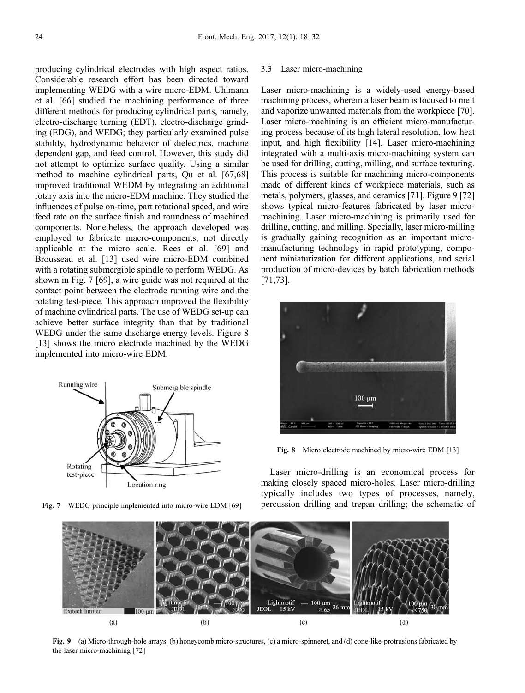producing cylindrical electrodes with high aspect ratios. Considerable research effort has been directed toward implementing WEDG with a wire micro-EDM. Uhlmann et al. [[66\]](#page-13-0) studied the machining performance of three different methods for producing cylindrical parts, namely, electro-discharge turning (EDT), electro-discharge grinding (EDG), and WEDG; they particularly examined pulse stability, hydrodynamic behavior of dielectrics, machine dependent gap, and feed control. However, this study did not attempt to optimize surface quality. Using a similar method to machine cylindrical parts, Qu et al. [\[67,68\]](#page-13-0) improved traditional WEDM by integrating an additional rotary axis into the micro-EDM machine. They studied the influences of pulse on-time, part rotational speed, and wire feed rate on the surface finish and roundness of machined components. Nonetheless, the approach developed was employed to fabricate macro-components, not directly applicable at the micro scale. Rees et al. [\[69\]](#page-13-0) and Brousseau et al. [\[13](#page-11-0)] used wire micro-EDM combined with a rotating submergible spindle to perform WEDG. As shown in Fig. 7 [[69](#page-13-0)], a wire guide was not required at the contact point between the electrode running wire and the rotating test-piece. This approach improved the flexibility of machine cylindrical parts. The use of WEDG set-up can achieve better surface integrity than that by traditional WEDG under the same discharge energy levels. Figure 8 [\[13\]](#page-11-0) shows the micro electrode machined by the WEDG implemented into micro-wire EDM.



### 3.3 Laser micro-machining

Laser micro-machining is a widely-used energy-based machining process, wherein a laser beam is focused to melt and vaporize unwanted materials from the workpiece [\[70\]](#page-13-0). Laser micro-machining is an efficient micro-manufacturing process because of its high lateral resolution, low heat input, and high flexibility [[14](#page-11-0)]. Laser micro-machining integrated with a multi-axis micro-machining system can be used for drilling, cutting, milling, and surface texturing. This process is suitable for machining micro-components made of different kinds of workpiece materials, such as metals, polymers, glasses, and ceramics [[71](#page-13-0)]. Figure 9 [[72](#page-13-0)] shows typical micro-features fabricated by laser micromachining. Laser micro-machining is primarily used for drilling, cutting, and milling. Specially, laser micro-milling is gradually gaining recognition as an important micromanufacturing technology in rapid prototyping, component miniaturization for different applications, and serial production of micro-devices by batch fabrication methods [[71](#page-13-0),[73](#page-13-0)].



Fig. 8 Micro electrode machined by micro-wire EDM [\[13\]](#page-11-0)

Laser micro-drilling is an economical process for making closely spaced micro-holes. Laser micro-drilling typically includes two types of processes, namely, Fig. 7 WEDG principle implemented into micro-wire EDM [[69](#page-13-0)] percussion drilling and trepan drilling; the schematic of



Fig. 9 (a) Micro-through-hole arrays, (b) honeycomb micro-structures, (c) a micro-spinneret, and (d) cone-like-protrusions fabricated by the laser micro-machining [[72](#page-13-0)]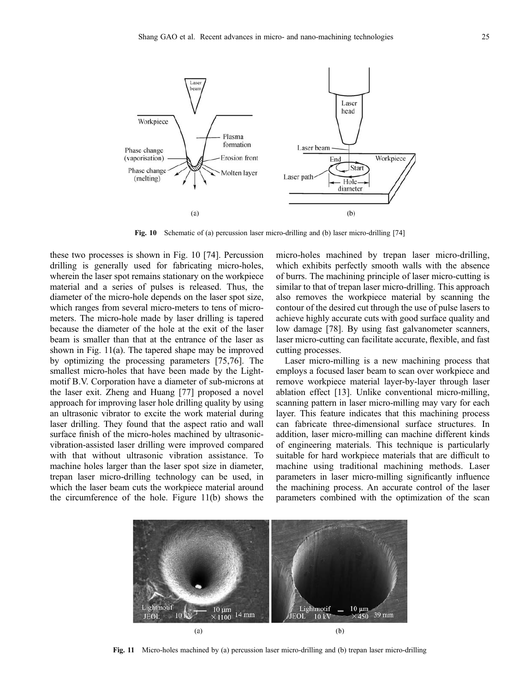

Fig. 10 Schematic of (a) percussion laser micro-drilling and (b) laser micro-drilling [\[74\]](#page-13-0)

these two processes is shown in Fig. 10 [\[74\]](#page-13-0). Percussion drilling is generally used for fabricating micro-holes, wherein the laser spot remains stationary on the workpiece material and a series of pulses is released. Thus, the diameter of the micro-hole depends on the laser spot size, which ranges from several micro-meters to tens of micrometers. The micro-hole made by laser drilling is tapered because the diameter of the hole at the exit of the laser beam is smaller than that at the entrance of the laser as shown in Fig. 11(a). The tapered shape may be improved by optimizing the processing parameters [\[75,76\]](#page-13-0). The smallest micro-holes that have been made by the Lightmotif B.V. Corporation have a diameter of sub-microns at the laser exit. Zheng and Huang [\[77\]](#page-13-0) proposed a novel approach for improving laser hole drilling quality by using an ultrasonic vibrator to excite the work material during laser drilling. They found that the aspect ratio and wall surface finish of the micro-holes machined by ultrasonicvibration-assisted laser drilling were improved compared with that without ultrasonic vibration assistance. To machine holes larger than the laser spot size in diameter, trepan laser micro-drilling technology can be used, in which the laser beam cuts the workpiece material around the circumference of the hole. Figure 11(b) shows the micro-holes machined by trepan laser micro-drilling, which exhibits perfectly smooth walls with the absence of burrs. The machining principle of laser micro-cutting is similar to that of trepan laser micro-drilling. This approach also removes the workpiece material by scanning the contour of the desired cut through the use of pulse lasers to achieve highly accurate cuts with good surface quality and low damage [\[78\]](#page-13-0). By using fast galvanometer scanners, laser micro-cutting can facilitate accurate, flexible, and fast cutting processes.

Laser micro-milling is a new machining process that employs a focused laser beam to scan over workpiece and remove workpiece material layer-by-layer through laser ablation effect [[13](#page-11-0)]. Unlike conventional micro-milling, scanning pattern in laser micro-milling may vary for each layer. This feature indicates that this machining process can fabricate three-dimensional surface structures. In addition, laser micro-milling can machine different kinds of engineering materials. This technique is particularly suitable for hard workpiece materials that are difficult to machine using traditional machining methods. Laser parameters in laser micro-milling significantly influence the machining process. An accurate control of the laser parameters combined with the optimization of the scan



Fig. 11 Micro-holes machined by (a) percussion laser micro-drilling and (b) trepan laser micro-drilling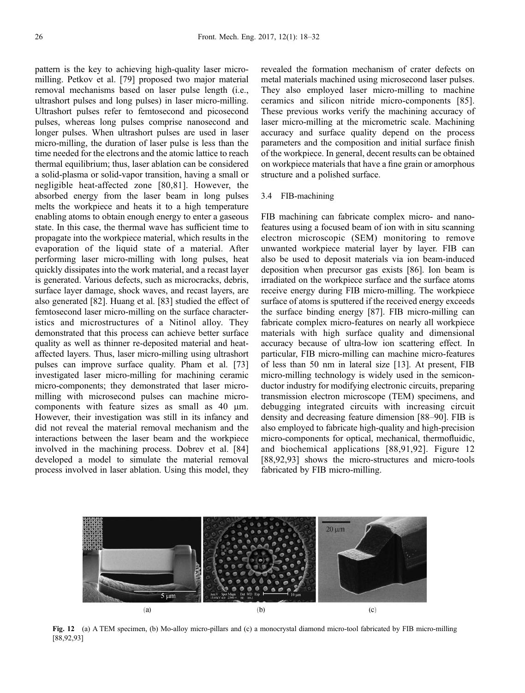pattern is the key to achieving high-quality laser micromilling. Petkov et al. [\[79\]](#page-13-0) proposed two major material removal mechanisms based on laser pulse length (i.e., ultrashort pulses and long pulses) in laser micro-milling. Ultrashort pulses refer to femtosecond and picosecond pulses, whereas long pulses comprise nanosecond and longer pulses. When ultrashort pulses are used in laser micro-milling, the duration of laser pulse is less than the time needed for the electrons and the atomic lattice to reach thermal equilibrium; thus, laser ablation can be considered a solid-plasma or solid-vapor transition, having a small or negligible heat-affected zone [[80,81](#page-13-0)]. However, the absorbed energy from the laser beam in long pulses melts the workpiece and heats it to a high temperature enabling atoms to obtain enough energy to enter a gaseous state. In this case, the thermal wave has sufficient time to propagate into the workpiece material, which results in the evaporation of the liquid state of a material. After performing laser micro-milling with long pulses, heat quickly dissipates into the work material, and a recast layer is generated. Various defects, such as microcracks, debris, surface layer damage, shock waves, and recast layers, are also generated [[82](#page-13-0)]. Huang et al. [\[83\]](#page-13-0) studied the effect of femtosecond laser micro-milling on the surface characteristics and microstructures of a Nitinol alloy. They demonstrated that this process can achieve better surface quality as well as thinner re-deposited material and heataffected layers. Thus, laser micro-milling using ultrashort pulses can improve surface quality. Pham et al. [\[73\]](#page-13-0) investigated laser micro-milling for machining ceramic micro-components; they demonstrated that laser micromilling with microsecond pulses can machine microcomponents with feature sizes as small as  $40 \mu m$ . However, their investigation was still in its infancy and did not reveal the material removal mechanism and the interactions between the laser beam and the workpiece involved in the machining process. Dobrev et al. [\[84\]](#page-13-0) developed a model to simulate the material removal process involved in laser ablation. Using this model, they

revealed the formation mechanism of crater defects on metal materials machined using microsecond laser pulses. They also employed laser micro-milling to machine ceramics and silicon nitride micro-components [[85](#page-13-0)]. These previous works verify the machining accuracy of laser micro-milling at the micrometric scale. Machining accuracy and surface quality depend on the process parameters and the composition and initial surface finish of the workpiece. In general, decent results can be obtained on workpiece materials that have a fine grain or amorphous structure and a polished surface.

#### 3.4 FIB-machining

FIB machining can fabricate complex micro- and nanofeatures using a focused beam of ion with in situ scanning electron microscopic (SEM) monitoring to remove unwanted workpiece material layer by layer. FIB can also be used to deposit materials via ion beam-induced deposition when precursor gas exists [[86](#page-13-0)]. Ion beam is irradiated on the workpiece surface and the surface atoms receive energy during FIB micro-milling. The workpiece surface of atoms is sputtered if the received energy exceeds the surface binding energy [\[87\]](#page-13-0). FIB micro-milling can fabricate complex micro-features on nearly all workpiece materials with high surface quality and dimensional accuracy because of ultra-low ion scattering effect. In particular, FIB micro-milling can machine micro-features of less than 50 nm in lateral size [\[13\]](#page-11-0). At present, FIB micro-milling technology is widely used in the semiconductor industry for modifying electronic circuits, preparing transmission electron microscope (TEM) specimens, and debugging integrated circuits with increasing circuit density and decreasing feature dimension [[88](#page-13-0)–[90](#page-13-0)]. FIB is also employed to fabricate high-quality and high-precision micro-components for optical, mechanical, thermofluidic, and biochemical applications [\[88](#page-13-0),[91,92\]](#page-13-0). Figure 12 [[88](#page-13-0),[92](#page-13-0),[93](#page-13-0)] shows the micro-structures and micro-tools fabricated by FIB micro-milling.



Fig. 12 (a) A TEM specimen, (b) Mo-alloy micro-pillars and (c) a monocrystal diamond micro-tool fabricated by FIB micro-milling [\[88,92](#page-13-0),[93\]](#page-13-0)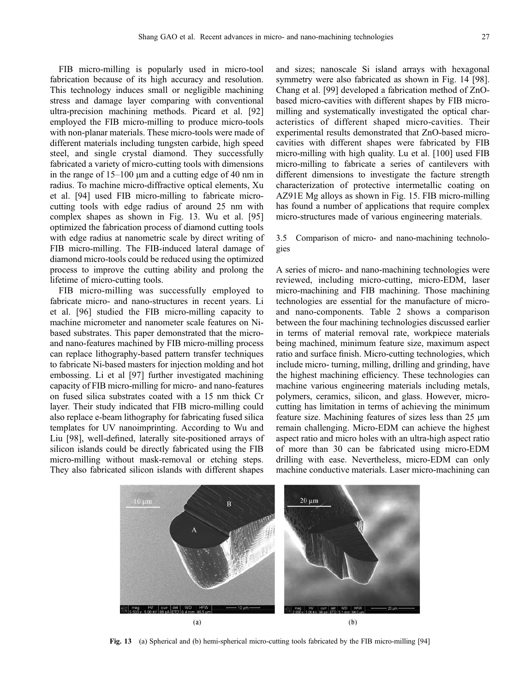FIB micro-milling is popularly used in micro-tool fabrication because of its high accuracy and resolution. This technology induces small or negligible machining stress and damage layer comparing with conventional ultra-precision machining methods. Picard et al. [\[92\]](#page-13-0) employed the FIB micro-milling to produce micro-tools with non-planar materials. These micro-tools were made of different materials including tungsten carbide, high speed steel, and single crystal diamond. They successfully fabricated a variety of micro-cutting tools with dimensions in the range of  $15-100 \mu m$  and a cutting edge of 40 nm in radius. To machine micro-diffractive optical elements, Xu et al. [\[94\]](#page-13-0) used FIB micro-milling to fabricate microcutting tools with edge radius of around 25 nm with complex shapes as shown in Fig. 13. Wu et al. [\[95\]](#page-13-0) optimized the fabrication process of diamond cutting tools with edge radius at nanometric scale by direct writing of FIB micro-milling. The FIB-induced lateral damage of diamond micro-tools could be reduced using the optimized process to improve the cutting ability and prolong the lifetime of micro-cutting tools.

FIB micro-milling was successfully employed to fabricate micro- and nano-structures in recent years. Li et al. [[96](#page-13-0)] studied the FIB micro-milling capacity to machine micrometer and nanometer scale features on Nibased substrates. This paper demonstrated that the microand nano-features machined by FIB micro-milling process can replace lithography-based pattern transfer techniques to fabricate Ni-based masters for injection molding and hot embossing. Li et al [[97](#page-13-0)] further investigated machining capacity of FIB micro-milling for micro- and nano-features on fused silica substrates coated with a 15 nm thick Cr layer. Their study indicated that FIB micro-milling could also replace e-beam lithography for fabricating fused silica templates for UV nanoimprinting. According to Wu and Liu [[98](#page-13-0)], well-defined, laterally site-positioned arrays of silicon islands could be directly fabricated using the FIB micro-milling without mask-removal or etching steps. They also fabricated silicon islands with different shapes

and sizes; nanoscale Si island arrays with hexagonal symmetry were also fabricated as shown in Fig. 14 [\[98\]](#page-13-0). Chang et al. [\[99\]](#page-14-0) developed a fabrication method of ZnObased micro-cavities with different shapes by FIB micromilling and systematically investigated the optical characteristics of different shaped micro-cavities. Their experimental results demonstrated that ZnO-based microcavities with different shapes were fabricated by FIB micro-milling with high quality. Lu et al. [\[100](#page-14-0)] used FIB micro-milling to fabricate a series of cantilevers with different dimensions to investigate the facture strength characterization of protective intermetallic coating on AZ91E Mg alloys as shown in Fig. 15. FIB micro-milling has found a number of applications that require complex micro-structures made of various engineering materials.

3.5 Comparison of micro- and nano-machining technologies

A series of micro- and nano-machining technologies were reviewed, including micro-cutting, micro-EDM, laser micro-machining and FIB machining. Those machining technologies are essential for the manufacture of microand nano-components. Table 2 shows a comparison between the four machining technologies discussed earlier in terms of material removal rate, workpiece materials being machined, minimum feature size, maximum aspect ratio and surface finish. Micro-cutting technologies, which include micro- turning, milling, drilling and grinding, have the highest machining efficiency. These technologies can machine various engineering materials including metals, polymers, ceramics, silicon, and glass. However, microcutting has limitation in terms of achieving the minimum feature size. Machining features of sizes less than 25  $\mu$ m remain challenging. Micro-EDM can achieve the highest aspect ratio and micro holes with an ultra-high aspect ratio of more than 30 can be fabricated using micro-EDM drilling with ease. Nevertheless, micro-EDM can only machine conductive materials. Laser micro-machining can



Fig. 13 (a) Spherical and (b) hemi-spherical micro-cutting tools fabricated by the FIB micro-milling [[94](#page-13-0)]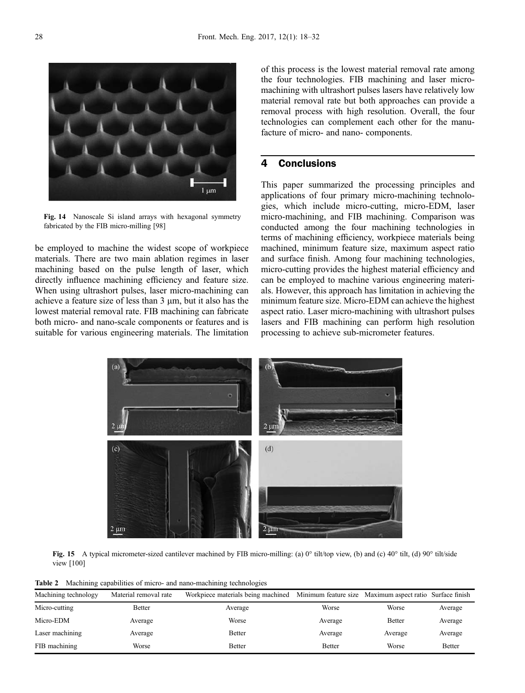Fig. 14 Nanoscale Si island arrays with hexagonal symmetry fabricated by the FIB micro-milling [[98](#page-13-0)]

 $1 \mu m$ 

be employed to machine the widest scope of workpiece materials. There are two main ablation regimes in laser machining based on the pulse length of laser, which directly influence machining efficiency and feature size. When using ultrashort pulses, laser micro-machining can achieve a feature size of less than  $3 \mu m$ , but it also has the lowest material removal rate. FIB machining can fabricate both micro- and nano-scale components or features and is suitable for various engineering materials. The limitation

of this process is the lowest material removal rate among the four technologies. FIB machining and laser micromachining with ultrashort pulses lasers have relatively low material removal rate but both approaches can provide a removal process with high resolution. Overall, the four technologies can complement each other for the manufacture of micro- and nano- components.

# 4 Conclusions

This paper summarized the processing principles and applications of four primary micro-machining technologies, which include micro-cutting, micro-EDM, laser micro-machining, and FIB machining. Comparison was conducted among the four machining technologies in terms of machining efficiency, workpiece materials being machined, minimum feature size, maximum aspect ratio and surface finish. Among four machining technologies, micro-cutting provides the highest material efficiency and can be employed to machine various engineering materials. However, this approach has limitation in achieving the minimum feature size. Micro-EDM can achieve the highest aspect ratio. Laser micro-machining with ultrashort pulses lasers and FIB machining can perform high resolution processing to achieve sub-micrometer features.

Fig. 15 A typical micrometer-sized cantilever machined by FIB micro-milling: (a) 0° tilt/top view, (b) and (c) 40° tilt, (d) 90° tilt/side view [\[100\]](#page-14-0)

Table 2 Machining capabilities of micro- and nano-machining technologies

| Machining technology | Material removal rate | Workpiece materials being machined Minimum feature size Maximum aspect ratio Surface finish |               |               |               |
|----------------------|-----------------------|---------------------------------------------------------------------------------------------|---------------|---------------|---------------|
| Micro-cutting        | Better                | Average                                                                                     | Worse         | Worse         | Average       |
| Micro-EDM            | Average               | Worse                                                                                       | Average       | <b>Better</b> | Average       |
| Laser machining      | Average               | Better                                                                                      | Average       | Average       | Average       |
| FIB machining        | Worse                 | Better                                                                                      | <b>Better</b> | Worse         | <b>Better</b> |



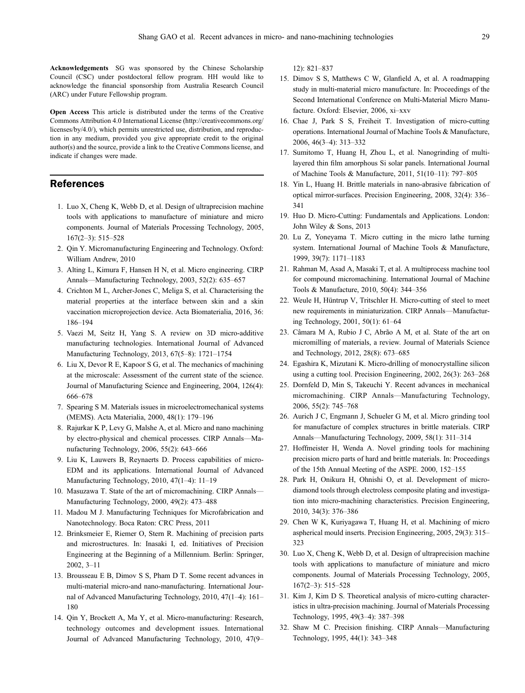<span id="page-11-0"></span>Acknowledgements SG was sponsored by the Chinese Scholarship Council (CSC) under postdoctoral fellow program. HH would like to acknowledge the financial sponsorship from Australia Research Council (ARC) under Future Fellowship program.

Open Access This article is distributed under the terms of the Creative Commons Attribution 4.0 International License (http://creativecommons.org/ licenses/by/4.0/), which permits unrestricted use, distribution, and reproduction in any medium, provided you give appropriate credit to the original author(s) and the source, provide a link to the Creative Commons license, and indicate if changes were made.

## References

- 1. Luo X, Cheng K, Webb D, et al. Design of ultraprecision machine tools with applications to manufacture of miniature and micro components. Journal of Materials Processing Technology, 2005, 167(2–3): 515–528
- 2. Qin Y. Micromanufacturing Engineering and Technology. Oxford: William Andrew, 2010
- 3. Alting L, Kimura F, Hansen H N, et al. Micro engineering. CIRP Annals—Manufacturing Technology, 2003, 52(2): 635–657
- 4. Crichton M L, Archer-Jones C, Meliga S, et al. Characterising the material properties at the interface between skin and a skin vaccination microprojection device. Acta Biomaterialia, 2016, 36: 186–194
- 5. Vaezi M, Seitz H, Yang S. A review on 3D micro-additive manufacturing technologies. International Journal of Advanced Manufacturing Technology, 2013, 67(5–8): 1721–1754
- 6. Liu X, Devor R E, Kapoor S G, et al. The mechanics of machining at the microscale: Assessment of the current state of the science. Journal of Manufacturing Science and Engineering, 2004, 126(4): 666–678
- 7. Spearing S M. Materials issues in microelectromechanical systems (MEMS). Acta Materialia, 2000, 48(1): 179–196
- 8. Rajurkar K P, Levy G, Malshe A, et al. Micro and nano machining by electro-physical and chemical processes. CIRP Annals—Manufacturing Technology, 2006, 55(2): 643–666
- 9. Liu K, Lauwers B, Reynaerts D. Process capabilities of micro-EDM and its applications. International Journal of Advanced Manufacturing Technology, 2010, 47(1–4): 11–19
- 10. Masuzawa T. State of the art of micromachining. CIRP Annals— Manufacturing Technology, 2000, 49(2): 473–488
- 11. Madou M J. Manufacturing Techniques for Microfabrication and Nanotechnology. Boca Raton: CRC Press, 2011
- 12. Brinksmeier E, Riemer O, Stern R. Machining of precision parts and microstructures. In: Inasaki I, ed. Initiatives of Precision Engineering at the Beginning of a Millennium. Berlin: Springer, 2002, 3–11
- 13. Brousseau E B, Dimov S S, Pham D T. Some recent advances in multi-material micro-and nano-manufacturing. International Journal of Advanced Manufacturing Technology, 2010, 47(1–4): 161– 180
- 14. Qin Y, Brockett A, Ma Y, et al. Micro-manufacturing: Research, technology outcomes and development issues. International Journal of Advanced Manufacturing Technology, 2010, 47(9–

12): 821–837

- 15. Dimov S S, Matthews C W, Glanfield A, et al. A roadmapping study in multi-material micro manufacture. In: Proceedings of the Second International Conference on Multi-Material Micro Manufacture. Oxford: Elsevier, 2006, xi–xxv
- 16. Chae J, Park S S, Freiheit T. Investigation of micro-cutting operations. International Journal of Machine Tools & Manufacture, 2006, 46(3–4): 313–332
- 17. Sumitomo T, Huang H, Zhou L, et al. Nanogrinding of multilayered thin film amorphous Si solar panels. International Journal of Machine Tools & Manufacture, 2011, 51(10–11): 797–805
- 18. Yin L, Huang H. Brittle materials in nano-abrasive fabrication of optical mirror-surfaces. Precision Engineering, 2008, 32(4): 336– 341
- 19. Huo D. Micro-Cutting: Fundamentals and Applications. London: John Wiley & Sons, 2013
- 20. Lu Z, Yoneyama T. Micro cutting in the micro lathe turning system. International Journal of Machine Tools & Manufacture, 1999, 39(7): 1171–1183
- 21. Rahman M, Asad A, Masaki T, et al. A multiprocess machine tool for compound micromachining. International Journal of Machine Tools & Manufacture, 2010, 50(4): 344–356
- 22. Weule H, Hüntrup V, Tritschler H. Micro-cutting of steel to meet new requirements in miniaturization. CIRP Annals—Manufacturing Technology, 2001, 50(1): 61–64
- 23. Câmara M A, Rubio J C, Abrão A M, et al. State of the art on micromilling of materials, a review. Journal of Materials Science and Technology, 2012, 28(8): 673–685
- 24. Egashira K, Mizutani K. Micro-drilling of monocrystalline silicon using a cutting tool. Precision Engineering, 2002, 26(3): 263–268
- 25. Dornfeld D, Min S, Takeuchi Y. Recent advances in mechanical micromachining. CIRP Annals—Manufacturing Technology, 2006, 55(2): 745–768
- 26. Aurich J C, Engmann J, Schueler G M, et al. Micro grinding tool for manufacture of complex structures in brittle materials. CIRP Annals—Manufacturing Technology, 2009, 58(1): 311–314
- 27. Hoffmeister H, Wenda A. Novel grinding tools for machining precision micro parts of hard and brittle materials. In: Proceedings of the 15th Annual Meeting of the ASPE. 2000, 152–155
- 28. Park H, Onikura H, Ohnishi O, et al. Development of microdiamond tools through electroless composite plating and investigation into micro-machining characteristics. Precision Engineering, 2010, 34(3): 376–386
- 29. Chen W K, Kuriyagawa T, Huang H, et al. Machining of micro aspherical mould inserts. Precision Engineering, 2005, 29(3): 315– 323
- 30. Luo X, Cheng K, Webb D, et al. Design of ultraprecision machine tools with applications to manufacture of miniature and micro components. Journal of Materials Processing Technology, 2005, 167(2–3): 515–528
- 31. Kim J, Kim D S. Theoretical analysis of micro-cutting characteristics in ultra-precision machining. Journal of Materials Processing Technology, 1995, 49(3–4): 387–398
- 32. Shaw M C. Precision finishing. CIRP Annals—Manufacturing Technology, 1995, 44(1): 343–348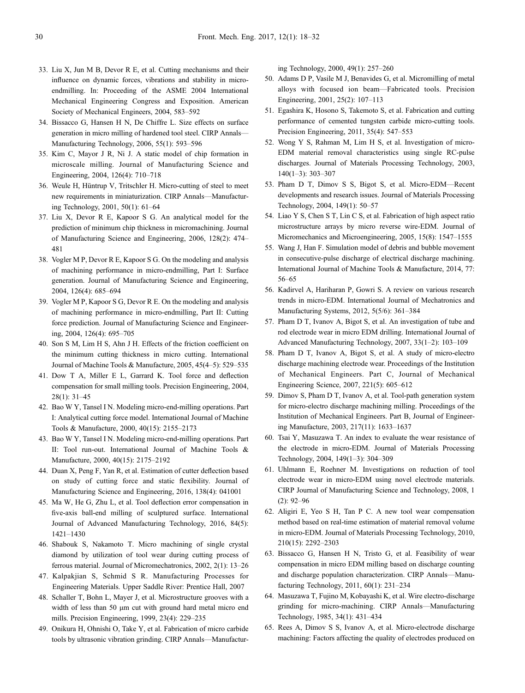- <span id="page-12-0"></span>33. Liu X, Jun M B, Devor R E, et al. Cutting mechanisms and their influence on dynamic forces, vibrations and stability in microendmilling. In: Proceeding of the ASME 2004 International Mechanical Engineering Congress and Exposition. American Society of Mechanical Engineers, 2004, 583–592
- 34. Bissacco G, Hansen H N, De Chiffre L. Size effects on surface generation in micro milling of hardened tool steel. CIRP Annals— Manufacturing Technology, 2006, 55(1): 593–596
- 35. Kim C, Mayor J R, Ni J. A static model of chip formation in microscale milling. Journal of Manufacturing Science and Engineering, 2004, 126(4): 710–718
- 36. Weule H, Hüntrup V, Tritschler H. Micro-cutting of steel to meet new requirements in miniaturization. CIRP Annals—Manufacturing Technology, 2001, 50(1): 61–64
- 37. Liu X, Devor R E, Kapoor S G. An analytical model for the prediction of minimum chip thickness in micromachining. Journal of Manufacturing Science and Engineering, 2006, 128(2): 474– 481
- 38. Vogler M P, Devor R E, Kapoor S G. On the modeling and analysis of machining performance in micro-endmilling, Part I: Surface generation. Journal of Manufacturing Science and Engineering, 2004, 126(4): 685–694
- 39. Vogler M P, Kapoor S G, Devor R E. On the modeling and analysis of machining performance in micro-endmilling, Part II: Cutting force prediction. Journal of Manufacturing Science and Engineering, 2004, 126(4): 695–705
- 40. Son S M, Lim H S, Ahn J H. Effects of the friction coefficient on the minimum cutting thickness in micro cutting. International Journal of Machine Tools & Manufacture, 2005, 45(4–5): 529–535
- 41. Dow T A, Miller E L, Garrard K. Tool force and deflection compensation for small milling tools. Precision Engineering, 2004, 28(1): 31–45
- 42. Bao W Y, Tansel I N. Modeling micro-end-milling operations. Part I: Analytical cutting force model. International Journal of Machine Tools & Manufacture, 2000, 40(15): 2155–2173
- 43. Bao W Y, Tansel I N. Modeling micro-end-milling operations. Part II: Tool run-out. International Journal of Machine Tools & Manufacture, 2000, 40(15): 2175–2192
- 44. Duan X, Peng F, Yan R, et al. Estimation of cutter deflection based on study of cutting force and static flexibility. Journal of Manufacturing Science and Engineering, 2016, 138(4): 041001
- 45. Ma W, He G, Zhu L, et al. Tool deflection error compensation in five-axis ball-end milling of sculptured surface. International Journal of Advanced Manufacturing Technology, 2016, 84(5): 1421–1430
- 46. Shabouk S, Nakamoto T. Micro machining of single crystal diamond by utilization of tool wear during cutting process of ferrous material. Journal of Micromechatronics, 2002, 2(1): 13–26
- 47. Kalpakjian S, Schmid S R. Manufacturing Processes for Engineering Materials. Upper Saddle River: Prentice Hall, 2007
- 48. Schaller T, Bohn L, Mayer J, et al. Microstructure grooves with a width of less than 50 µm cut with ground hard metal micro end mills. Precision Engineering, 1999, 23(4): 229–235
- 49. Onikura H, Ohnishi O, Take Y, et al. Fabrication of micro carbide tools by ultrasonic vibration grinding. CIRP Annals—Manufactur-

ing Technology, 2000, 49(1): 257–260

- 50. Adams D P, Vasile M J, Benavides G, et al. Micromilling of metal alloys with focused ion beam—Fabricated tools. Precision Engineering, 2001, 25(2): 107–113
- 51. Egashira K, Hosono S, Takemoto S, et al. Fabrication and cutting performance of cemented tungsten carbide micro-cutting tools. Precision Engineering, 2011, 35(4): 547–553
- 52. Wong Y S, Rahman M, Lim H S, et al. Investigation of micro-EDM material removal characteristics using single RC-pulse discharges. Journal of Materials Processing Technology, 2003, 140(1–3): 303–307
- 53. Pham D T, Dimov S S, Bigot S, et al. Micro-EDM—Recent developments and research issues. Journal of Materials Processing Technology, 2004, 149(1): 50–57
- 54. Liao Y S, Chen S T, Lin C S, et al. Fabrication of high aspect ratio microstructure arrays by micro reverse wire-EDM. Journal of Micromechanics and Microengineering, 2005, 15(8): 1547–1555
- 55. Wang J, Han F. Simulation model of debris and bubble movement in consecutive-pulse discharge of electrical discharge machining. International Journal of Machine Tools & Manufacture, 2014, 77: 56–65
- 56. Kadirvel A, Hariharan P, Gowri S. A review on various research trends in micro-EDM. International Journal of Mechatronics and Manufacturing Systems, 2012, 5(5/6): 361–384
- 57. Pham D T, Ivanov A, Bigot S, et al. An investigation of tube and rod electrode wear in micro EDM drilling. International Journal of Advanced Manufacturing Technology, 2007, 33(1–2): 103–109
- 58. Pham D T, Ivanov A, Bigot S, et al. A study of micro-electro discharge machining electrode wear. Proceedings of the Institution of Mechanical Engineers. Part C, Journal of Mechanical Engineering Science, 2007, 221(5): 605–612
- 59. Dimov S, Pham D T, Ivanov A, et al. Tool-path generation system for micro-electro discharge machining milling. Proceedings of the Institution of Mechanical Engineers. Part B, Journal of Engineering Manufacture, 2003, 217(11): 1633–1637
- 60. Tsai Y, Masuzawa T. An index to evaluate the wear resistance of the electrode in micro-EDM. Journal of Materials Processing Technology, 2004, 149(1–3): 304–309
- 61. Uhlmann E, Roehner M. Investigations on reduction of tool electrode wear in micro-EDM using novel electrode materials. CIRP Journal of Manufacturing Science and Technology, 2008, 1 (2): 92–96
- 62. Aligiri E, Yeo S H, Tan P C. A new tool wear compensation method based on real-time estimation of material removal volume in micro-EDM. Journal of Materials Processing Technology, 2010, 210(15): 2292–2303
- 63. Bissacco G, Hansen H N, Tristo G, et al. Feasibility of wear compensation in micro EDM milling based on discharge counting and discharge population characterization. CIRP Annals—Manufacturing Technology, 2011, 60(1): 231–234
- 64. Masuzawa T, Fujino M, Kobayashi K, et al. Wire electro-discharge grinding for micro-machining. CIRP Annals—Manufacturing Technology, 1985, 34(1): 431–434
- 65. Rees A, Dimov S S, Ivanov A, et al. Micro-electrode discharge machining: Factors affecting the quality of electrodes produced on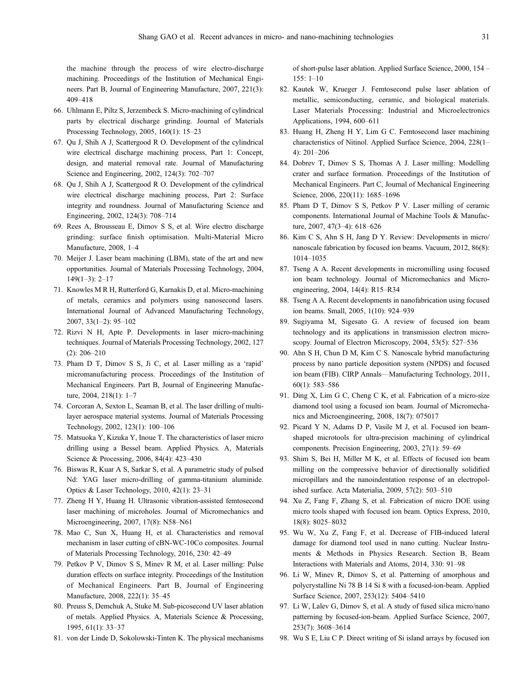<span id="page-13-0"></span>the machine through the process of wire electro-discharge machining. Proceedings of the Institution of Mechanical Engineers. Part B, Journal of Engineering Manufacture, 2007, 221(3): 409–418

- 66. Uhlmann E, Piltz S, Jerzembeck S. Micro-machining of cylindrical parts by electrical discharge grinding. Journal of Materials Processing Technology, 2005, 160(1): 15–23
- 67. Qu J, Shih A J, Scattergood R O. Development of the cylindrical wire electrical discharge machining process, Part 1: Concept, design, and material removal rate. Journal of Manufacturing Science and Engineering, 2002, 124(3): 702–707
- 68. Qu J, Shih A J, Scattergood R O. Development of the cylindrical wire electrical discharge machining process, Part 2: Surface integrity and roundness. Journal of Manufacturing Science and Engineering, 2002, 124(3): 708–714
- 69. Rees A, Brousseau E, Dimov S S, et al. Wire electro discharge grinding: surface finish optimisation. Multi-Material Micro Manufacture, 2008, 1–4
- 70. Meijer J. Laser beam machining (LBM), state of the art and new opportunities. Journal of Materials Processing Technology, 2004, 149(1–3): 2–17
- 71. Knowles M R H, Rutterford G, Karnakis D, et al. Micro-machining of metals, ceramics and polymers using nanosecond lasers. International Journal of Advanced Manufacturing Technology, 2007, 33(1–2): 95–102
- 72. Rizvi N H, Apte P. Developments in laser micro-machining techniques. Journal of Materials Processing Technology, 2002, 127 (2): 206–210
- 73. Pham D T, Dimov S S, Ji C, et al. Laser milling as a 'rapid' micromanufacturing process. Proceedings of the Institution of Mechanical Engineers. Part B, Journal of Engineering Manufacture, 2004, 218(1): 1–7
- 74. Corcoran A, Sexton L, Seaman B, et al. The laser drilling of multilayer aerospace material systems. Journal of Materials Processing Technology, 2002, 123(1): 100–106
- 75. Matsuoka Y, Kizuka Y, Inoue T. The characteristics of laser micro drilling using a Bessel beam. Applied Physics. A, Materials Science & Processing, 2006, 84(4): 423–430
- 76. Biswas R, Kuar A S, Sarkar S, et al. A parametric study of pulsed Nd: YAG laser micro-drilling of gamma-titanium aluminide. Optics & Laser Technology, 2010, 42(1): 23–31
- 77. Zheng H Y, Huang H. Ultrasonic vibration-assisted femtosecond laser machining of microholes. Journal of Micromechanics and Microengineering, 2007, 17(8): N58–N61
- 78. Mao C, Sun X, Huang H, et al. Characteristics and removal mechanism in laser cutting of cBN-WC-10Co composites. Journal of Materials Processing Technology, 2016, 230: 42–49
- 79. Petkov P V, Dimov S S, Minev R M, et al. Laser milling: Pulse duration effects on surface integrity. Proceedings of the Institution of Mechanical Engineers. Part B, Journal of Engineering Manufacture, 2008, 222(1): 35–45
- 80. Preuss S, Demchuk A, Stuke M. Sub-picosecond UV laser ablation of metals. Applied Physics. A, Materials Science & Processing, 1995, 61(1): 33–37
- 81. von der Linde D, Sokolowski-Tinten K. The physical mechanisms

of short-pulse laser ablation. Applied Surface Science, 2000, 154 – 155: 1–10

- 82. Kautek W, Krueger J. Femtosecond pulse laser ablation of metallic, semiconducting, ceramic, and biological materials. Laser Materials Processing: Industrial and Microelectronics Applications, 1994, 600–611
- 83. Huang H, Zheng H Y, Lim G C. Femtosecond laser machining characteristics of Nitinol. Applied Surface Science, 2004, 228(1– 4): 201–206
- 84. Dobrev T, Dimov S S, Thomas A J. Laser milling: Modelling crater and surface formation. Proceedings of the Institution of Mechanical Engineers. Part C, Journal of Mechanical Engineering Science, 2006, 220(11): 1685–1696
- 85. Pham D T, Dimov S S, Petkov P V. Laser milling of ceramic components. International Journal of Machine Tools & Manufacture, 2007, 47(3–4): 618–626
- 86. Kim C S, Ahn S H, Jang D Y. Review: Developments in micro/ nanoscale fabrication by focused ion beams. Vacuum, 2012, 86(8): 1014–1035
- 87. Tseng A A. Recent developments in micromilling using focused ion beam technology. Journal of Micromechanics and Microengineering, 2004, 14(4): R15–R34
- 88. Tseng A A. Recent developments in nanofabrication using focused ion beams. Small, 2005, 1(10): 924–939
- 89. Sugiyama M, Sigesato G. A review of focused ion beam technology and its applications in transmission electron microscopy. Journal of Electron Microscopy, 2004, 53(5): 527–536
- 90. Ahn S H, Chun D M, Kim C S. Nanoscale hybrid manufacturing process by nano particle deposition system (NPDS) and focused ion beam (FIB). CIRP Annals—Manufacturing Technology, 2011, 60(1): 583–586
- 91. Ding X, Lim G C, Cheng C K, et al. Fabrication of a micro-size diamond tool using a focused ion beam. Journal of Micromechanics and Microengineering, 2008, 18(7): 075017
- 92. Picard Y N, Adams D P, Vasile M J, et al. Focused ion beamshaped microtools for ultra-precision machining of cylindrical components. Precision Engineering, 2003, 27(1): 59–69
- 93. Shim S, Bei H, Miller M K, et al. Effects of focused ion beam milling on the compressive behavior of directionally solidified micropillars and the nanoindentation response of an electropolished surface. Acta Materialia, 2009, 57(2): 503–510
- 94. Xu Z, Fang F, Zhang S, et al. Fabrication of micro DOE using micro tools shaped with focused ion beam. Optics Express, 2010, 18(8): 8025–8032
- 95. Wu W, Xu Z, Fang F, et al. Decrease of FIB-induced lateral damage for diamond tool used in nano cutting. Nuclear Instruments & Methods in Physics Research. Section B, Beam Interactions with Materials and Atoms, 2014, 330: 91–98
- 96. Li W, Minev R, Dimov S, et al. Patterning of amorphous and polycrystalline Ni 78 B 14 Si 8 with a focused-ion-beam. Applied Surface Science, 2007, 253(12): 5404–5410
- 97. Li W, Lalev G, Dimov S, et al. A study of fused silica micro/nano patterning by focused-ion-beam. Applied Surface Science, 2007, 253(7): 3608–3614
- 98. Wu S E, Liu C P. Direct writing of Si island arrays by focused ion